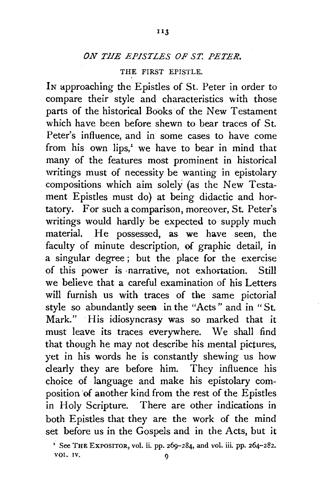## *ON THE EPISTLES OF ST. PETER.*

## THE FIRST EPISTLE.

IN approaching the Epistles of St. Peter in order to compare their style and characteristics with those parts of the historical Books of the New Testament which have been before shewn to bear traces of St. Peter's influence, and in some cases to have come from his own lips.<sup> $1$ </sup> we have to bear in mind that many of the features most prominent in historical writings must of necessity be wanting in epistolary compositions which aim solely (as the New Testament Epistles must do) at being didactic and hortatory. For such a comparison, moreover, St. Peter's writings would hardly be expected to supply much material. He possessed, as we have seen, the faculty of minute description, of graphic detail, in a singular degree ; but the place for the exercise of this power is ·narrative, not exhortation. Still we believe that a careful examination of his Letters will furnish us with traces of the same pictorial style so abundantly seen in the "Acts" and in "St. Mark." His idiosyncrasy was so marked that it must leave its traces everywhere. We shall find that though he may not describe his mental pictures, yet in his words he is constantly shewing us how clearly they are before him. They influence his choice of language and make his epistolary composition of another kind from the rest of the Epistles in Holy Scripture. There are other indications in both Epistles that they are the work of the mind set before us in the Gospels and in the Acts, but it

 $\frac{1}{1}$  See THE EXPOSITOR, vol. ii. pp. 269-284, and vol. iii. pp. 264-282. VOL. IV.  $Q$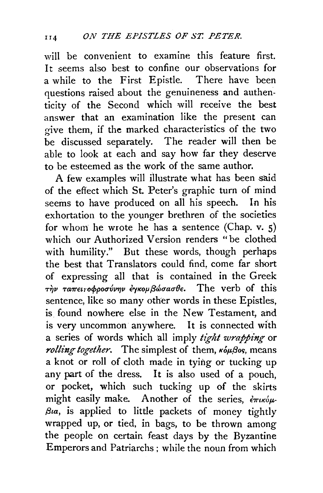will be convenient to examine this feature first. It seems also best to confine our observations for a while to the First Epistle. There have been questions raised about the genuineness and authenticity of the Second which will receive the best answer that an examination like the present can give them, if the marked characteristics of the two be discussed separately. The reader will then be able to look at each and say how far they deserve to be esteemed as the work of the same author.

A few examples will illustrate what has been said of the effect which St. Peter's graphic turn of mind seems to have produced on all his speech. In his exhortation to the younger brethren of the societies for whom he wrote he has a sentence (Chap. v. 5) which our Authorized Version renders "be clothed with humility." But these words, though perhaps the best that Translators could find, come far short of expressing all that is contained in the Greek Tην ταπει*τοφροσύνην έγκομβώσασθε*. The verb of this sentence, like so many other words in these Epistles, is found nowhere else in the New Testament, and is very uncommon anywhere. It is connected with a series of words which all imply *tight wrapping* or *rolling together*. The simplest of them,  $\kappa_0 \mu_0$ os, means a knot or roll of cloth made in tying or tucking up any part of the dress. It is also used of a pouch, or pocket, which such tucking up of the skirts might easily make. Another of the series,  $\epsilon_{\pi\iota\kappa\acute{o}\mu}$ *f3ta,* is applied to little packets of money tightly wrapped up, or tied, in bags, to be thrown among the people on certain feast days by the Byzantine Emperors and Patriarchs; while the noun from which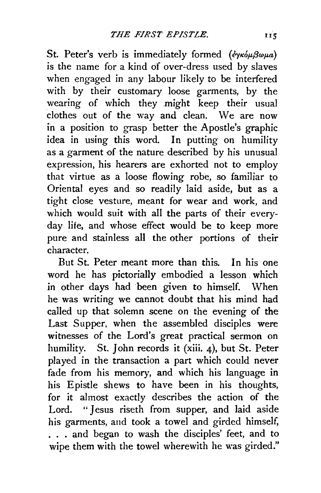St. Peter's verb is immediately formed (eyróµ $\beta\omega\mu a$ ) is the name for a kind of over-dress used by slaves when engaged in any labour likely to be interfered with by their customary loose garments, by the wearing of which they might keep their usual clothes out of the way and clean. We are now in a position to grasp better the Apostle's graphic idea in using this word. In putting on humility as a garment of the nature described by his unusual expression, his hearers are exhorted not to employ that virtue as a loose flowing robe, so familiar to Oriental eyes and so readily laid aside, but as a tight close vesture, meant for wear and work, and which would suit with all the parts of their everyday life, and whose effect would be to keep more pure and stainless all the other portions of their character.

But St. Peter meant more than this. In his one word he has pictorially embodied a lesson which in other days had been given to himself. When he was writing we cannot doubt that his mind had called up that solemn scene on the evening of the Last Supper, when the assembled disciples were witnesses of the Lord's great practical sermon on humility. St. John records it (xiii. 4), but St. Peter played in the transaction a part which could never fade from his memory, and which his language in his Epistle shews to have been in his thoughts, for it almost exactly describes the action of the Lord. " Jesus riseth from supper, and laid aside his garments, and took a towel and girded himself, ... and began to wash the disciples' feet, and to wipe them with the towel wherewith he was girded."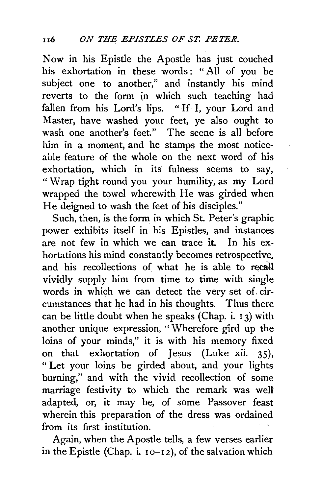Now in his Epistle the Apostle has just couched his exhortation in these words: "All of you be subject one to another," and instantly his mind reverts to the form in which such teaching had fallen from his Lord's lips. "If I, your Lord and Master, have washed your feet, ye also ought to . wash one another's feet" The scene is all before him in a moment, and he stamps the most noticeable feature of the whole on the next word of his exhortation, which in its fulness seems to say, " Wrap tight round you your humility, as my Lord wrapped the towel wherewith He was girded when He deigned to wash the feet of his disciples."

Such, then, is the form in which St. Peter's graphic power exhibits itself in his Epistles, and instances are not few in which we can trace it. In his exhortations his mind constantly becomes retrospective. and his recollections of what he is able to recall vividly supply him from time to time with single words in which we can detect the very set of. circumstances that he had in his thoughts. Thus there can be little doubt when he speaks (Chap. i. 1 3) with another unique expression, "Wherefore gird up the loins of your minds," it is with his memory fixed on that exhortation of Jesus (Luke xii. 35), " Let your loins be girded about, and your lights burning," and with the vivid recollection of some marriage festivity to which the remark was well adapted, or, it may be, of some Passover feast wherein this preparation of the dress was ordained from its first institution.

Again, when the Apostle tells, a few verses earlier in the Epistle (Chap. i.  $10-12$ ), of the salvation which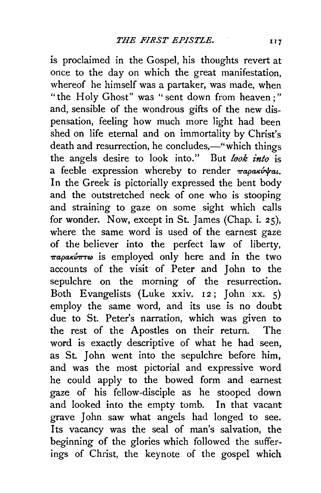is proclaimed in the Gospel, his thoughts revert at once to the day on which the great manifestation, whereof he himself was a partaker, was made, when "the Holy Ghost" was "sent down from heaven;" and, sensible of the wondrous gifts of the new dispensation, feeling how much more light had been shed on life eternal and on immortality by Christ's death and resurrection, he concludes,-"which things the angels desire to look into." But *look into* is a feeble expression whereby to render *Tapakivkat.* In the Greek is pictorially expressed the bent body and the outstretched neck of one who is stooping and straining to gaze on some sight which calls for wonder. Now, except in St. James (Chap. i. 25), where the same word is used of the earnest gaze of the believer into the perfect law of liberty,  $\pi a \rho a \kappa \nu \pi \tau \omega$  is employed only here and in the two accounts of the visit of Peter and John to the sepulchre on the morning of the resurrection. Both Evangelists (Luke xxiv. 12; John xx. 5) employ the same word, and its use is no doubt due to St. Peter's narration, which was given to the rest of the Apostles on their return. The word is exactly descriptive of what he had seen, as St. John went into the sepulchre before him, and was the most pictorial and expressive word he could apply to the bowed form and earnest gaze of his fellow-disciple as he stooped down and looked into the empty tomb. In that vacant grave John saw what angels had longed to see. Its vacancy was the seal of man's salvation, the beginning of the glories which followed the sufferings of Christ, the keynote of the gospel which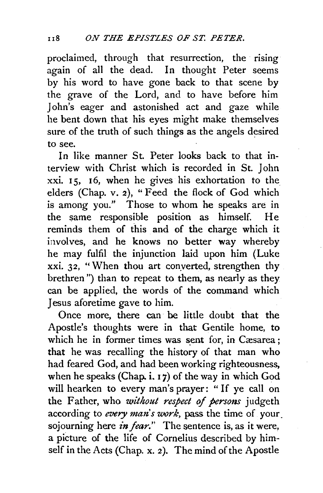proclaimed, through that resurrection, the rising again of all the dead. In thought Peter seems by his word to have gone back to that scene by the grave of the Lord, and to have before him John's eager and astonished act and gaze while he bent down that his eyes might make themselves sure of the truth of such things as the angels desired to see.

In like manner St. Peter looks back to that interview with Christ which is recorded in St. John xxi. 1 5, 16, when he gives his exhortation to the elders (Chap. v. 2), "Feed the flock of God which is among you." Those to whom he speaks are in the same responsible position as himself. He reminds them of this and of the charge which it involves, and he knows no better way whereby he may fulfil the injunction laid upon him (Luke xxi. 32, "When thou art conyerted, strengthen thy brethren") than to repeat to them, as nearly as they can be applied, the words of the command which Jesus aforetime gave to him.

Once more, there can· be little doubt that the Apostle's thoughts were in that Gentile home, to which he in former times was sent for, in Cæsarea; that he was recalling the history of that man who had feared God, and had been working righteousness, when he speaks (Chap.  $i$ ,  $i$ ) of the way in which God will hearken to every man's prayer: "If ye call on the Father, who *without respect of persons* judgeth according to *every man's work,* pass the time of your. sojourning here *in fear*." The sentence is, as it were, a picture of the life of Cornelius described by himself in the Acts (Chap. x. 2). The mind of the Apostle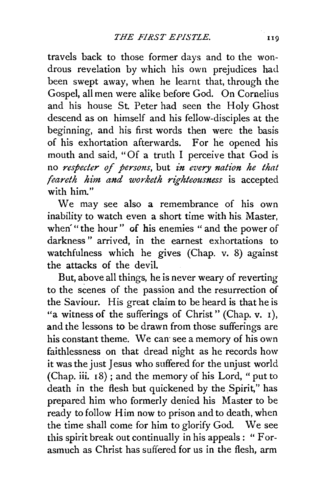travels back to those former days and to the wondrous revelation by which his own prejudices had. been swept away, when he learnt that, through the Gospel, all men were alike before God. On Cornelius and his house St. Peter had seen the Holy Ghost descend as on himself and his fellow-disciples at the beginning, and his first words then were the basis of his exhortation afterwards. For he opened his mouth and said, "Of a truth I perceive that God is no *respecter of persons,* but *in every nation he that feareth him and worketh righteousness* is accepted with him."

We may see also a remembrance of his own inability to watch even a short time with his Master, when'" the hour" of his enemies " and the power of darkness " arrived, in the earnest exhortations to watchfulness which he gives (Chap. v. 8) against the attacks of the devil.

But, above all things, he is never weary of reverting to the scenes of the passion and the resurrection of the Saviour. His great claim to be heard is that he is "a witness of the sufferings of Christ" (Chap.  $v$ . 1), and the lessons to be drawn from those sufferings are his constant theme. We can see a memory of his own faithlessness on that dread night as he records how it was the just Jesus who suffered for the unjust world (Chap. iii. 18) ; and the memory of his Lord, "put to death in the flesh but quickened by the Spirit," has prepared him who formerly denied his Master to be ready to follow Him now to prison and to death, when the time shall come for him to glorify God. We see this spirit break out continually in his appeals : " Forasmuch as Christ has suffered for us in the flesh, arm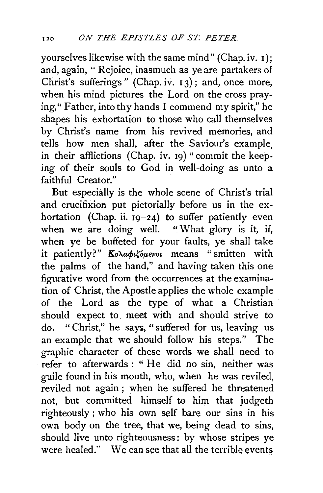yourselves likewise with the same mind" (Chap. iv. I); and, again, " Rejoice, inasmuch as ye are partakers of Christ's sufferings" (Chap. iv. I 3); and, once more, when his mind pictures the Lord on the cross praying," Father, into thy hands I commend my spirit," he shapes his exhortation to those who call themselves by Christ's name from his revived memories, and tells how men shall, after the Saviour's example, in their afflictions (Chap. iv. 19) "commit the keeping of their souls to God in well-doing as unto a faithful Creator."

But especially is the whole scene of Christ's trial and crucifixion put pictorially before us in the exhortation (Chap. ii.  $19-24$ ) to suffer patiently even when we are doing well. "What glory is it, if, when ye be buffeted for your faults, ye shall take it patiently?" Κολαφιζόμενοι means "smitten with the palms of the hand," and having taken this one figurative word from the occurrences at the examination of Christ, the Apostle applies the whole example of the Lord as the type of what a Christian should expect to. meet with and should strive to do. " Christ," he says, " suffered for us, leaving us an example that we should follow his steps." The graphic character of these words we shall need to refer to afterwards : " He did no sin, neither was guile found in his mouth, who, when he was reviled, reviled not again ; when he suffered he threatened not, but committed himself to him that judgeth righteously; who his own self bare our sins in his own body on the tree, that we, being dead to sins, should live unto righteousness: by whose stripes ye were healed." We can see that all the terrible events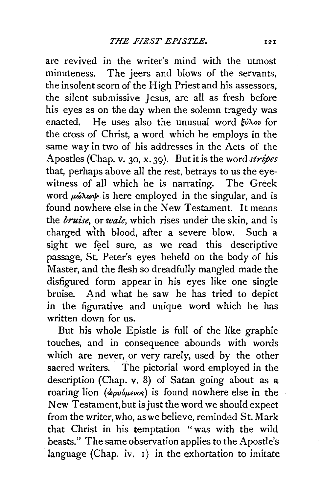are revived in the writer's mind with the utmost minuteness. The jeers and blows of the servants, the insolent scorn of the High Priest and his assessors, the silent submissive Jesus, are all as fresh before his eyes as on the day when the solemn tragedy was enacted. He uses also the unusual word  $\frac{\partial^2 u}{\partial x \partial y}$  for the cross of Christ, a word which he employs in the same way in two of his addresses in the Acts of the Apostles (Chap. v. 30, x. 39). But it is the word *stripes*  that, perhaps above all the rest, betrays to us the eyewitness of all which he is narrating. The Greek word  $\mu\acute{\omega}\lambda\acute{\omega}\psi$  is here employed in the singular, and is found nowhere else in the New Testament. It means the *bruise,* or *wale,* which rises under the skin, and is charged with blood, after a severe blow. Such a sight we feel sure, as we read this descriptive passage, St. Peter's eyes beheld on the body of his Master, and the flesh so dreadfully mangled made the disfigured form appear in his eyes like one single bruise. And what he saw he has tried to depict in the figurative and unique word which he has written down for us.

But his whole Epistle is full of the like graphic touches, and in consequence abounds with words which are never, or very rarely, used by the other sacred writers. The pictorial word employed in the description (Chap. v. 8) of Satan going about as a roaring lion (*ώρυόμενος*) is found nowhere else in the New Testament, but is just the word we should expect from the writer, who, as we believe, reminded St. Mark that Christ in his temptation "was with the wild beasts." The same observation applies to the Apostle's language (Chap. iv.  $\iota$ ) in the exhortation to imitate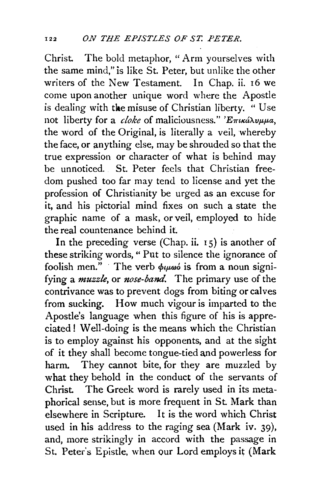Christ. The bold metaphor, "Arm yourselves with the same mind," is like St. Peter, but unlike the other writers of the New Testament. In Chap. ii. 16 we come upon another unique word where the Apostle is dealing with the misuse of Christian liberty. "Use not liberty for a *cloke* of maliciousness." ' $E_{\pi i}$ *ká* $\lambda \nu \mu \mu a$ , the word of the Original, is literally a veil, whereby the face, or anything else, may be shrouded so that the true expression or character of what is behind may be unnoticed. St. Peter feels that Christian freedom pushed too far may tend to license and yet the profession of Christianity be urged as an excuse for it, and his pictorial mind fixes on such a state the graphic name of a mask, or veil, employed to hide the real countenance behind it.

In the preceding verse (Chap. ii. 15) is another of these striking words, " Put to silence the ignorance of foolish men." The verb  $\phi$ *u* $\omega$ *i* is from a noun signifying a *muzzle,* or *nose-band.* The primary use of the contrivance was to prevent dogs from biting or calves from sucking. How much vigour is imparted to the Apostle's language when this figure of his is appreciated! Well-doing is the means which the Christian is to employ against his opponents, and at the sight of it they shall become tongue-tied and powerless for harm. They cannot bite, for they are muzzled by what they behold in the conduct of the servants of Christ. The Greek word is rarely used in its metaphorical sense, but is more frequent in St. Mark than elsewhere in Scripture. It is the word which Christ used in his address to the raging sea (Mark iv. 39), and, more strikingly in accord with the passage in St. Peter's Epistle, when our Lord employs it (Mark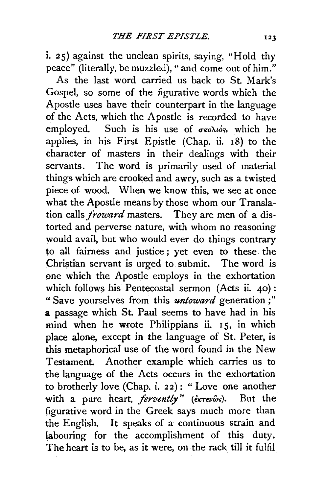i. 25) against the unclean spirits, saying, "Hold thy peace" (literally, be muzzled)," and come out of him."

As the last word carried us back to St. Mark's Gospel, so some of the figurative words which the Apostle uses have their counterpart in the language of the Acts, which the Apostle is recorded to have employed. Such is his use of  $\sigma \kappa o \lambda \iota_0' s$ , which he applies, in his First Epistle (Chap. ii. 18) to the character of masters in their dealings with their servants. The word is primarily used of material things which are crooked and awry, such as a twisted piece of wood. When we know this, we see at once what the Apostle means by those whom our Translation calls *froward* masters. They are men of a distorted and perverse nature, with whom no reasoning would avail, but who would ever do things contrary to all fairness and justice; yet even to these the Christian servant is urged to submit. The word is pne which the Apostle employs in the exhortation which follows his Pentecostal sermon (Acts ii. 40): "Save yourselves from this *untoward* generation;" a passage which St. Paul seems to have had in his mind when he wrote Philippians ii. 15, in which place alone, except in the language of St. Peter, is this metaphorical use of the word found in the New Testament. Another example which carries us to the language of the Acts occurs in the exhortation to brotherly love (Chap. i. 22): "Love one another<br>with a pure heart. *fervently*" (*extendis*). But the with a pure heart, *fervently*" (*derev*ωs). figurative word in the Greek says much more than the English. It speaks of a continuous strain and labouring for the accomplishment of this duty. The heart is to be, as it were, on the rack till it fulfil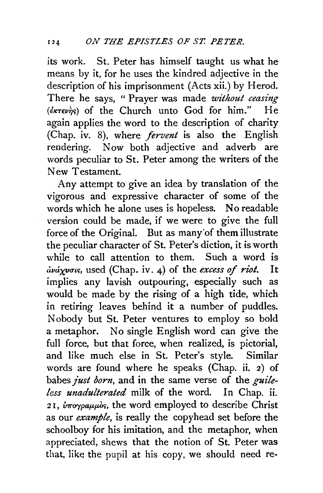its work. St. Peter has himself taught us what he means by it, for he uses the kindred adjective in the description of his imprisonment (Acts xii.) by Herod. There he says, "Prayer was made *without ceasing (€"-revir;)* of the Church unto God for him." He again applies the word to the description of charity (Chap. iv. 8), where *fervent* is also the English rendering. Now both adjective and adverb are words peculiar to St. Peter among the writers of the New Testament.

Any attempt to give an idea by translation of the vigorous and expressive character of some of the words which he alone uses is hopeless. No readable version could be made, if we were to give the full force of the Original. But as many'of them illustrate the peculiar character of St. Peter's diction, it is worth while to call attention to them. Such a word is dváxvous, used (Chap. iv. 4) of the excess of riot. It implies any lavish outpouring, especially such as would be made by the rising of a high tide, which in retiring leaves behind it a number of puddles. Nobody but St. Peter ventures to employ so bold a metaphor. No single English word can give the full force, but that force, when realized, is pictorial, and like much else in St. Peter's style. Similar words are found where he speaks (Chap. ii. 2) of babes *just born,* and in the same verse of the *guileless unadulterated* milk of the word. In Chap. ii. 21,  $\hat{v} \pi \omega \gamma \rho a \mu \omega \delta s$ , the word employed to describe Christ as our *example,* is really the copyhead set before the schoolboy for his imitation, and the metaphor, when appreciated, shews that the notion of St. Peter was that, like the pupil at his copy, we should need re-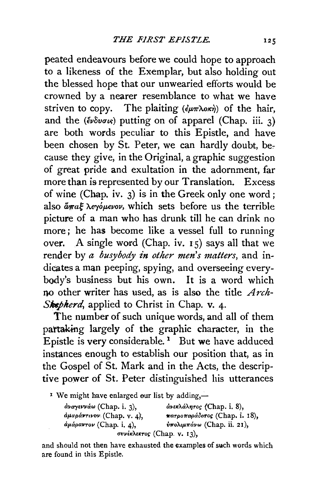peated endeavours before we could hope to approach to a likeness of the Exemplar, but also holding out the blessed hope that our unwearied efforts would be crowned by a nearer resemblance to what we have striven to copy. The plaiting  $(\epsilon \mu \pi \lambda \alpha \kappa \dot{\eta})$  of the hair, and the  $(\epsilon \nu \delta \nu \sigma \kappa)$  putting on of apparel (Chap. iii. 3) are both words peculiar to this Epistle, and have been chosen by St. Peter, we can hardly doubt, because they give, in the Original, a graphic suggestion of great pride and exultation in the adornment, far more than is represented by our Translation. Excess of wine (Chap. iv. 3) is in the Greek only one word ; also  $\mathring{a}_{\mathcal{R}}$  *a* $\mathring{a}_{\mathcal{R}}$  *λ evóμενον*, which sets before us the terrible picture of a man who has drunk till he can drink no more ; he has become like a vessel full to running over. A single word (Chap. iv. 15) says all that we render by *a busybody in other men's matters*, and indicates a man peeping, spying, and overseeing everybody's business but his own. It is a word which no other writer has used, as is also the title *Arch-*Shepherd, applied to Christ in Chap. v. 4.

The number of such unique words, and all of them partaking largely of the graphic character, in the Epistle is very considerable.<sup>1</sup> But we have adduced instances enough to establish our position that, as in the Gospel of St. Mark and in the Acts, the descriptive power of St. Peter distinguished his utterances

<sup>1</sup> We might have enlarged our list by adding,—

| $αναγεννάω (Chap. i. 3),$                             | άνεκλάλητος (Chap. i. 8),     |
|-------------------------------------------------------|-------------------------------|
| άμαράντινον (Chap. v. 4),                             | πατροπαράδοτος (Chap. i. 18), |
| $\alpha\mu\alpha\rho\alpha\nu\sigma\nu$ (Chap. i. 4). | ύπολιμπάνω (Chap. ii. 21),    |
|                                                       | συνέκλεκτος (Chap. v. 13),    |

and should not then have exhausted the examples of such words which are found in this Epistle.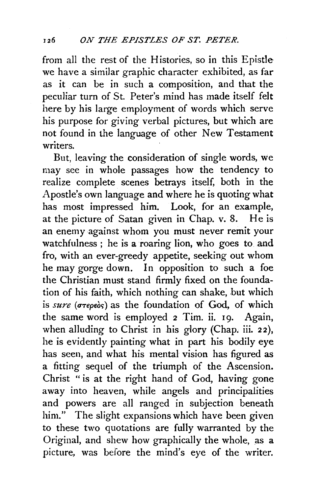from all the rest of the Histories, so in this Epistle we have a similar graphic character exhibited, as far as it can be in such a composition, and that the peculiar turn of St. Peter's mind has made itself felt here by his large employment of words which serve his purpose for giving verbal pictures, but which are not found in the language of other New Testament writers.

But, leaving the consideration of single words, we may see in whole passages how the tendency to realize complete scenes betrays itself, both in the Apostle's own language and where he is quoting what has most impressed him. Look, for an example, at the picture of Satan given in Chap. v. 8. He is an enemy against whom you must never remit your watchfulness ; he is a roaring lion, who goes to and fro, with an ever-greedy appetite, seeking out whom he may gorge down. In opposition to such a foe the Christian must stand firmly fixed on the foundation of his faith, which nothing can shake, but which is  $sure\ (\sigma\tau\epsilon_0\epsilon_0)$  as the foundation of God, of which the same word is employed  $2$  Tim. ii. 19. Again, when alluding to Christ in his glory (Chap. iii. 22), he is evidently painting what in part his bodily eye has seen, and what his mental vision has figured as a fitting sequel of the triumph of the Ascension. Christ " is at the right hand of God, having gone away into heaven, while angels and principalities and powers are all ranged in subjection beneath him." The slight expansions which have been given to these two quotations are fully warranted by the Original, and shew how graphically the whole, as a picture, was before the mind's eye of the writer.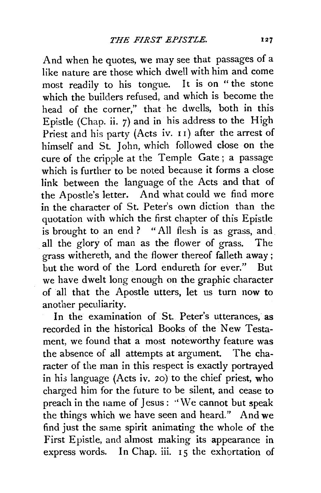And when he quotes, we may see that passages of a like nature are those which dwell with him and come most readily to his tongue. It is on " the stone which the builders refused, and which is become the head of the corner," that he dwells, both in this Epistle (Chap. ii. 7) and in his address to the High Priest and his party (Acts iv. 11) after the arrest of himself and St. John, which followed close on the cure of the cripple at the Temple Gate; a passage which is further to be noted because it forms a close link between the language of the Acts and that of the Apostle's letter. And what could we find more in the character of St. Peter's own diction than the quotation with which the first chapter of this Epistle is brought to an end ? "All flesh is as grass, and all the glory of man as the flower of grass. The grass withereth, and the flower thereof falleth away ; but the word of the Lord endureth for ever." But we have dwelt long enough on the graphic character of all that the Apostle utters, let us turn now to another peculiarity.

In the examination of St. Peter's utterances, as recorded in the historical Books of the New Testament, we found that a most noteworthy feature was the absence of all attempts at argument. The character of the man in this respect is exactly portrayed in his language (Acts iv. 20) to the chief priest, who charged him for the future to be silent, and cease to preach in the name of Jesus : "We cannot but speak the things which we have seen and heard." And we find just the same spirit animating the whole of the First Epistle, and almost making its appearance in express words. In Chap. iii. 15 the exhortation of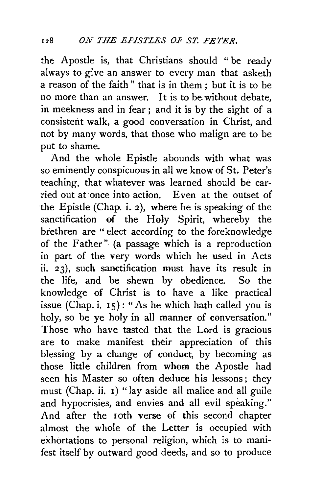the Apostle is, that Christians should "be ready always to give an answer to every man that asketh a reason of the faith " that is in them ; but it is to be no more than an answer. It is to be without debate, in meekness and in fear ; and it is by the sight of a consistent walk, a good conversation in Christ, and not by many words, that those who malign are to be put to shame.

And the whole Epistle abounds with what was so eminently conspicuous in all we know of St. Peter's teaching, that whatever was learned should be carried out at once into action. Even at the outset of the Epistle (Chap. i. 2), where he is speaking of the sanctification of the Holy Spirit, whereby the brethren are "elect according to the foreknowledge of the Father" (a passage which is a reproduction in part of the very words which he used in Acts ii. 23), such sanctification must have its result in the life, and be shewn by obedience. So the knowledge of Christ is to have a like practical issue (Chap. i. 15): "As he which hath called you is holy, so be ye holy in all manner of conversation." Those who have tasted that the Lord is gracious are to make manifest their appreciation of this blessing by a change of conduct, by becoming as those little children from whom the Apostle had seen his Master so often deduce his lessons; they must (Chap. ii. 1) "lay aside all malice and all guile and hypocrisies, and envies and all evil speaking." And after the roth verse of this second chapter almost the whole of the Letter is occupied with exhortations to personal religion, which is to manifest itself by outward good deeds, and so to produce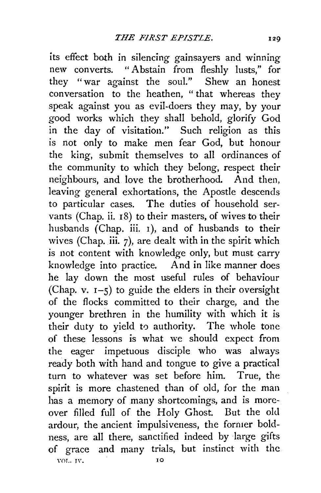its effect both in silencing gainsayers and winning<br>new converts "Abstain from fleshly lusts" for "Abstain from fleshly lusts." for they "war against the soul." Shew an honest conversation to the heathen, " that whereas they speak against you as evil-doers they may, by your good works which they shall behold, glorify God in the day of visitation." Such religion as this is not only to make men fear God, but honour the king, submit themselves to all ordinances of the community to which they belong, respect their neighbours, and love the brotherhood. And then, leaving general exhortations, the Apostle descends to particular cases. The duties of household servants (Chap. ii.  $18$ ) to their masters, of wives to their husbands (Chap. iii. 1), and of husbands to their wives (Chap. iii.  $7$ ), are dealt with in the spirit which is not content with knowledge only, but must carry knowledge into practice. And in like manner does he lay down the most useful rules of behaviour (Chap. v.  $I-5$ ) to guide the elders in their oversight of the flocks committed to their charge, and the younger brethren in the humility with which it is their duty to yield to authority. The whole tone of these lessons is what we should expect from the eager impetuous disciple who was always ready both with hand and tongue to give a practical turn to whatever was set before him. True, the spirit is more chastened than of old, for the man has a memory of many shortcomings, and is moreover filled full of the Holy Ghost. But the old ardour, the ancient impulsiveness, the former boldness, are all there, sanctified indeed by large gifts of grace and many trials, but instinct with the YOL. 1V. 10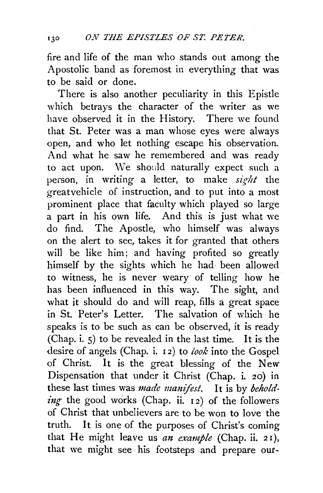fire and life of the man who stands out among the Apostolic band as foremost in everything that was to be said or done.

There is also another peculiarity in this Epistle which betrays the character of the writer as we have observed it in the History. There we found that St. Peter was a man whose eyes were always open, and who let nothing escape his observation. And what he saw he remembered and was ready to act upon. We should naturally expect such a person, in writing a letter, to make *sight* the greatvehicle of instruction, and to put into a most prominent place that faculty which played so large a part in his own life. And this is just what we do find. The Apostle, who himself was always on the alert to see, takes it for granted that others will be like him; and having profited so greatly himself by the sights which he had been allowed to witness, he is never weary of telling how he has been influenced in this way. The sight, and what it should do and will reap, fills a great space in St. Peter's Letter. The salvation of which he speaks is to be such as can be observed, it is ready (Chap. i. 5) to be revealed in the last time. It is the desire of angels (Chap. i. I 2) to *look* into the Gospel of Christ. It is the great blessing of the New Dispensation that under it Christ (Chap. i. 20) in these last times was *made manifest.* It is by *beholding* the good works (Chap. ii.  $I_2$ ) of the followers of Christ that unbelievers are to be won to love the truth. It is one of the purposes of Christ's coming that He might leave us *an example* (Chap. ii. 21), that we might see his footsteps and prepare out-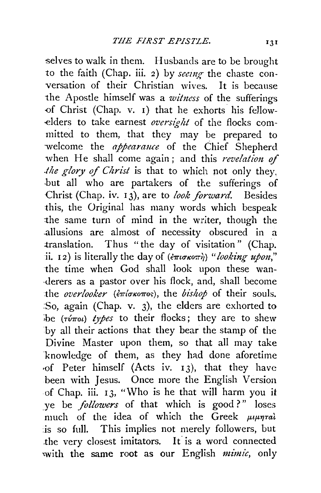selves to walk in them. Husbands are to be brought to the faith (Chap. iii. 2) by *seeing* the chaste conversation of their Christian wives. It is because the Apostle himself was a *witness* of the sufferings -of Christ (Chap. v. I) that he exhorts his fellow elders to take earnest *oversight* of the flocks committed to them, that they may be prepared to welcome the *appearance* of the Chief Shepherd when He shall come again; and this *revelation of the glory of Christ* is that to which not only they. -but all who are partakers of the sufferings of Christ (Chap. iv. 13), are to *look forward*. Besides this, the Original has many words which bespeak the same turn of mind in the writer, though the .allusions are almost of necessity obscured in a translation. Thus "the day of visitation" (Chap. ii. 12) is literally the day of  $(\epsilon \pi i \sigma \kappa \omega \pi)$  "*looking upon*," the time when God shall look upon these wan derers as a pastor over his flock, and, shall become the *overlooker* (επίσκοπος), the *bishop* of their souls. :So, again (Chap. v. 3), the elders are exhorted to  $\phi$  ( $\phi$ <sup>*t*</sup> $\phi$ *types* to their flocks; they are to shew by all their actions that they bear the stamp of the Divine Master upon them, so that all may take -knowledge of them, as they had done aforetime ·of Peter himself (Acts iv. I 3), that they have been with Jesus. Once more the English Version of Chap. iii. I 3, "Who is he that will harm you it ye be *followers* of that which is good?" loses much of the idea of which the  $\bar{G}$ reek  $\mu_1$ is so full. This implies not merely followers, but the very closest imitators. It is a word connected xwith the same root as our English *mimic,* only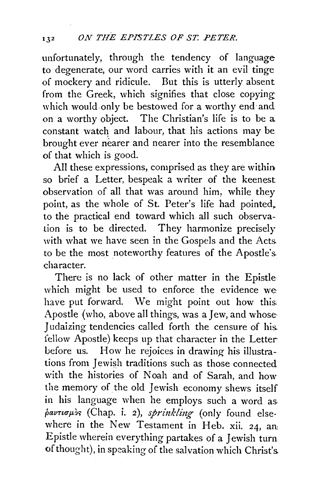unfortunately, through the tendency of language to degenerate, our word carries with it an evil tinge of mockery and ridicule. But this is utterly absent from the Greek, which signifies that close copying which would only be bestowed for a worthy end and on a worthy object. The Christian's life is to be a constant watch and labour, that his actions may be brought ever nearer and nearer into the resemblance of that which is good.

All these expressions, comprised as they are within so brief a Letter, bespeak a writer of the keenest observation of all that was around him. while they point, as the whole of St. Peter's life had pointed. to the practical end toward which all such observation is to be directed. They harmonize precisely with what we have seen in the Gospels and the Acts. to be the most noteworthy features of the Apostle's. character.

There is no lack of other matter in the Epistle which might be used to enforce the evidence we have put forward. We might point out how this. Apostle (who, above all things, was a Jew, and whose· Judaizing tendencies called forth the censure of his. fellow Apostle) keeps up that character in the Letter before us. How he rejoices in drawing his illustrations from Jewish traditions such as those connected with the histories of Noah and of Sarah, and how the memory of the old Jewish economy shews itself in his language when he employs such a word as.  $\phi$ avtious (Chap. i. 2), sprinkling (only found elsewhere in the New Testament in Heb. xii. 24, an: Epistle wherein everything partakes of a Jewish turn of thought), in speaking of the salvation which Christ's.